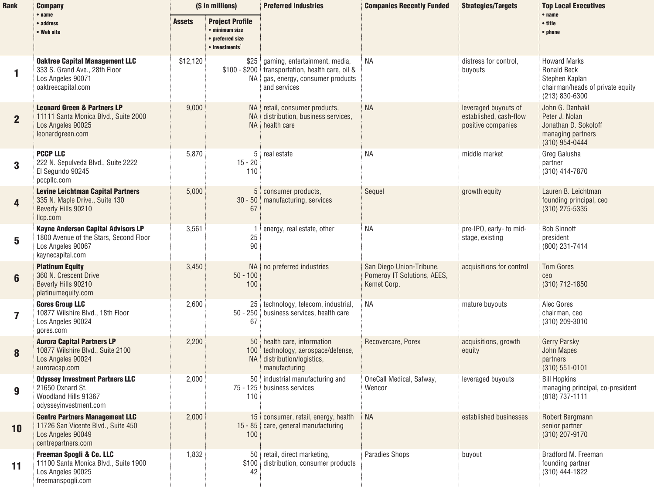| Rank           | <b>Company</b>                                                                                                               | (\$ in millions) |                                                                                                    | <b>Preferred Industries</b>                                                                                                                   | <b>Companies Recently Funded</b>                                       | <b>Strategies/Targets</b>                                            | <b>Top Local Executives</b><br>• name                                                                             |
|----------------|------------------------------------------------------------------------------------------------------------------------------|------------------|----------------------------------------------------------------------------------------------------|-----------------------------------------------------------------------------------------------------------------------------------------------|------------------------------------------------------------------------|----------------------------------------------------------------------|-------------------------------------------------------------------------------------------------------------------|
|                | $•$ name<br>• address<br>• Web site                                                                                          | <b>Assets</b>    | <b>Project Profile</b><br>• minimum size<br>• preferred size<br>$\bullet$ investments <sup>1</sup> |                                                                                                                                               |                                                                        |                                                                      | • title<br>• phone                                                                                                |
| 1              | <b>Oaktree Capital Management LLC</b><br>333 S. Grand Ave., 28th Floor<br>Los Angeles 90071<br>oaktreecapital.com            | \$12,120         |                                                                                                    | \$25 gaming, entertainment, media,<br>\$100 - \$200 transportation, health care, oil &<br>NA   gas, energy, consumer products<br>and services | <b>NA</b>                                                              | distress for control,<br>buyouts                                     | <b>Howard Marks</b><br><b>Ronald Beck</b><br>Stephen Kaplan<br>chairman/heads of private equity<br>(213) 830-6300 |
| $\overline{2}$ | <b>Leonard Green &amp; Partners LP</b><br>11111 Santa Monica Blvd., Suite 2000<br>Los Angeles 90025<br>leonardgreen.com      | 9,000            | NA<br><b>NA</b><br><b>NA</b>                                                                       | retail, consumer products,<br>distribution, business services,<br>health care                                                                 | <b>NA</b>                                                              | leveraged buyouts of<br>established, cash-flow<br>positive companies | John G. Danhakl<br>Peter J. Nolan<br>Jonathan D. Sokoloff<br>managing partners<br>(310) 954-0444                  |
| 3              | <b>PCCP LLC</b><br>222 N. Sepulveda Blvd., Suite 2222<br>El Segundo 90245<br>pccpllc.com                                     | 5,870            | $15 - 20$<br>110                                                                                   | 5 real estate                                                                                                                                 | ΝA                                                                     | middle market                                                        | Greg Galusha<br>partner<br>(310) 414-7870                                                                         |
| 4              | <b>Levine Leichtman Capital Partners</b><br>335 N. Maple Drive., Suite 130<br>Beverly Hills 90210<br>Ilcp.com                | 5,000            | $30 - 50$<br>67                                                                                    | 5 consumer products,<br>manufacturing, services                                                                                               | Sequel                                                                 | growth equity                                                        | Lauren B. Leichtman<br>founding principal, ceo<br>(310) 275-5335                                                  |
| 5              | <b>Kayne Anderson Capital Advisors LP</b><br>1800 Avenue of the Stars, Second Floor<br>Los Angeles 90067<br>kaynecapital.com | 3,561            | 1<br>25<br>90                                                                                      | energy, real estate, other                                                                                                                    | ΝA                                                                     | pre-IPO, early- to mid-<br>stage, existing                           | <b>Bob Sinnott</b><br>president<br>(800) 231-7414                                                                 |
| $6\phantom{1}$ | <b>Platinum Equity</b><br>360 N. Crescent Drive<br>Beverly Hills 90210<br>platinumequity.com                                 | 3,450            | $50 - 100$<br>100                                                                                  | NA   no preferred industries                                                                                                                  | San Diego Union-Tribune,<br>Pomeroy IT Solutions, AEES,<br>Kemet Corp. | acquisitions for control                                             | <b>Tom Gores</b><br>ceo<br>(310) 712-1850                                                                         |
| 7              | <b>Gores Group LLC</b><br>10877 Wilshire Blvd., 18th Floor<br>Los Angeles 90024<br>gores.com                                 | 2,600            | 67                                                                                                 | 25   technology, telecom, industrial,<br>50 - 250 business services, health care                                                              | <b>NA</b>                                                              | mature buyouts                                                       | Alec Gores<br>chairman, ceo<br>(310) 209-3010                                                                     |
| 8              | <b>Aurora Capital Partners LP</b><br>10877 Wilshire Blvd., Suite 2100<br>Los Angeles 90024<br>auroracap.com                  | 2,200            | 100                                                                                                | 50 health care, information<br>technology, aerospace/defense,<br>NA distribution/logistics,<br>manufacturing                                  | Recovercare, Porex                                                     | acquisitions, growth<br>equity                                       | <b>Gerry Parsky</b><br><b>John Mapes</b><br>partners<br>$(310) 551 - 0101$                                        |
| 9              | <b>Odyssey Investment Partners LLC</b><br>21650 Oxnard St.<br>Woodland Hills 91367<br>odysseyinvestment.com                  | 2,000            | 110                                                                                                | 50 industrial manufacturing and<br>75 - 125 business services                                                                                 | OneCall Medical, Safway,<br>Wencor                                     | leveraged buyouts                                                    | <b>Bill Hopkins</b><br>managing principal, co-president<br>(818) 737-1111                                         |
| 10             | <b>Centre Partners Management LLC</b><br>11726 San Vicente Blvd., Suite 450<br>Los Angeles 90049<br>centrepartners.com       | 2,000            | 100                                                                                                | 15 consumer, retail, energy, health<br>15 - 85 care, general manufacturing                                                                    | <b>NA</b>                                                              | established businesses                                               | Robert Bergmann<br>senior partner<br>(310) 207-9170                                                               |
| 11             | Freeman Spogli & Co. LLC<br>11100 Santa Monica Blvd., Suite 1900<br>Los Angeles 90025<br>freemanspogli.com                   | 1,832            | 42                                                                                                 | 50 retail, direct marketing,<br>\$100 distribution, consumer products                                                                         | Paradies Shops                                                         | buyout                                                               | Bradford M. Freeman<br>founding partner<br>$(310)$ 444-1822                                                       |